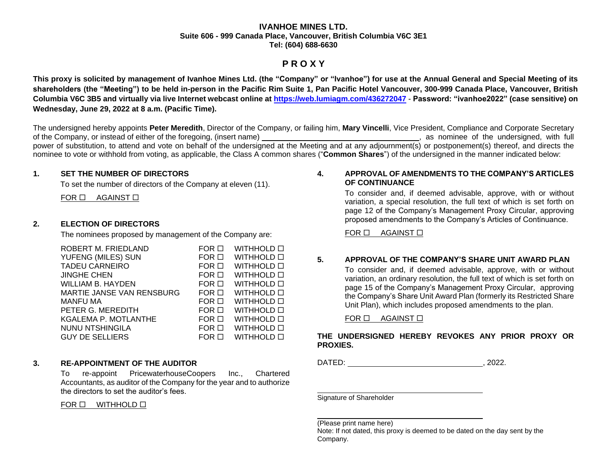### **IVANHOE MINES LTD. Suite 606 - 999 Canada Place, Vancouver, British Columbia V6C 3E1 Tel: (604) 688-6630**

# **P R O X Y**

**This proxy is solicited by management of Ivanhoe Mines Ltd. (the "Company" or "Ivanhoe") for use at the Annual General and Special Meeting of its shareholders (the "Meeting") to be held in-person in the Pacific Rim Suite 1, Pan Pacific Hotel Vancouver, 300-999 Canada Place, Vancouver, British Columbia V6C 3B5 and virtually via live Internet webcast online at [https://web.lumiagm.com/43](https://web.lumiagm.com/4)6272047 - Password: "ivanhoe2022" (case sensitive) on Wednesday, June 29, 2022 at 8 a.m. (Pacific Time).** 

The undersigned hereby appoints **Peter Meredith**, Director of the Company, or failing him, **Mary Vincelli**, Vice President, Compliance and Corporate Secretary of the Company, or instead of either of the foregoing, (insert name) , as nominee of the undersigned, with full power of substitution, to attend and vote on behalf of the undersigned at the Meeting and at any adjournment(s) or postponement(s) thereof, and directs the nominee to vote or withhold from voting, as applicable, the Class A common shares ("**Common Shares**") of the undersigned in the manner indicated below:

### **1. SET THE NUMBER OF DIRECTORS**

To set the number of directors of the Company at eleven (11).

 $FOR \Box$  AGAINST  $\Box$ 

# **2. ELECTION OF DIRECTORS**

The nominees proposed by management of the Company are:

| ROBERT M. FRIEDLAND       | $FOR$ $\square$ | WITHHOLD O        |
|---------------------------|-----------------|-------------------|
| YUFENG (MILES) SUN        | $FOR$ $\Box$    | <b>WITHHOLD O</b> |
| <b>TADEU CARNEIRO</b>     | $FOR$ $\Box$    | WITHHOLD <b>D</b> |
| <b>JINGHE CHEN</b>        | $FOR$ $\Box$    | <b>WITHHOLD O</b> |
| <b>WILLIAM B. HAYDEN</b>  | $FOR$ $\Box$    | <b>WITHHOLD O</b> |
| MARTIE JANSE VAN RENSBURG | $FOR$ $\Box$    | WITHHOLD O        |
| <b>MANFU MA</b>           | $FOR$ $\Box$    | <b>WITHHOLD O</b> |
| PETER G. MEREDITH         | $FOR$ $\Box$    | <b>WITHHOLD O</b> |
| KGALEMA P. MOTLANTHE      | $FOR$ $\Box$    | <b>WITHHOLD O</b> |
| NUNU NTSHINGILA           | $FOR$ $\Box$    | <b>WITHHOLD O</b> |
| <b>GUY DE SELLIERS</b>    | $FOR$ $\Box$    | WITHHOLD <b>D</b> |
|                           |                 |                   |

# **3. RE-APPOINTMENT OF THE AUDITOR**

To re-appoint PricewaterhouseCoopers Inc., Chartered Accountants, as auditor of the Company for the year and to authorize the directors to set the auditor's fees.

## $FOR \Box$  WITHHOLD  $\Box$

## **4. APPROVAL OF AMENDMENTS TO THE COMPANY'S ARTICLES OF CONTINUANCE**

To consider and, if deemed advisable, approve, with or without variation, a special resolution, the full text of which is set forth on page 12 of the Company's Management Proxy Circular, approving proposed amendments to the Company's Articles of Continuance.

 $FOR \Box$  AGAINST  $\Box$ 

# **5. APPROVAL OF THE COMPANY'S SHARE UNIT AWARD PLAN**

To consider and, if deemed advisable, approve, with or without variation, an ordinary resolution, the full text of which is set forth on page 15 of the Company's Management Proxy Circular, approving the Company's Share Unit Award Plan (formerly its Restricted Share Unit Plan), which includes proposed amendments to the plan.

## FOR  $\Box$  AGAINST  $\Box$

# **THE UNDERSIGNED HEREBY REVOKES ANY PRIOR PROXY OR PROXIES.**

DATED: , 2022.

Signature of Shareholder

(Please print name here)

Note: If not dated, this proxy is deemed to be dated on the day sent by the Company.